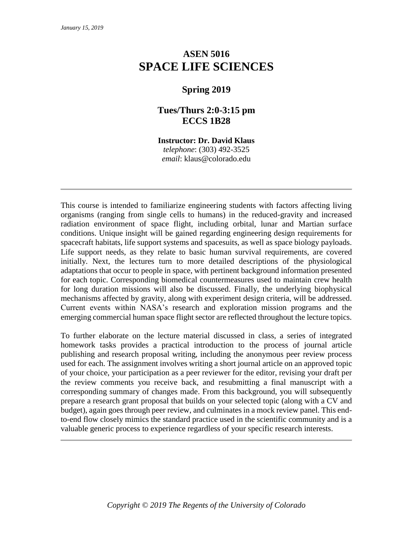# **ASEN 5016 SPACE LIFE SCIENCES**

# **Spring 2019**

# **Tues/Thurs 2:0-3:15 pm ECCS 1B28**

**Instructor: Dr. David Klaus**  *telephone*: (303) 492-3525 *email*: klaus@colorado.edu

This course is intended to familiarize engineering students with factors affecting living organisms (ranging from single cells to humans) in the reduced-gravity and increased radiation environment of space flight, including orbital, lunar and Martian surface conditions. Unique insight will be gained regarding engineering design requirements for spacecraft habitats, life support systems and spacesuits, as well as space biology payloads. Life support needs, as they relate to basic human survival requirements, are covered initially. Next, the lectures turn to more detailed descriptions of the physiological adaptations that occur to people in space, with pertinent background information presented for each topic. Corresponding biomedical countermeasures used to maintain crew health for long duration missions will also be discussed. Finally, the underlying biophysical mechanisms affected by gravity, along with experiment design criteria, will be addressed. Current events within NASA's research and exploration mission programs and the emerging commercial human space flight sector are reflected throughout the lecture topics.

To further elaborate on the lecture material discussed in class, a series of integrated homework tasks provides a practical introduction to the process of journal article publishing and research proposal writing, including the anonymous peer review process used for each. The assignment involves writing a short journal article on an approved topic of your choice, your participation as a peer reviewer for the editor, revising your draft per the review comments you receive back, and resubmitting a final manuscript with a corresponding summary of changes made. From this background, you will subsequently prepare a research grant proposal that builds on your selected topic (along with a CV and budget), again goes through peer review, and culminates in a mock review panel. This endto-end flow closely mimics the standard practice used in the scientific community and is a valuable generic process to experience regardless of your specific research interests.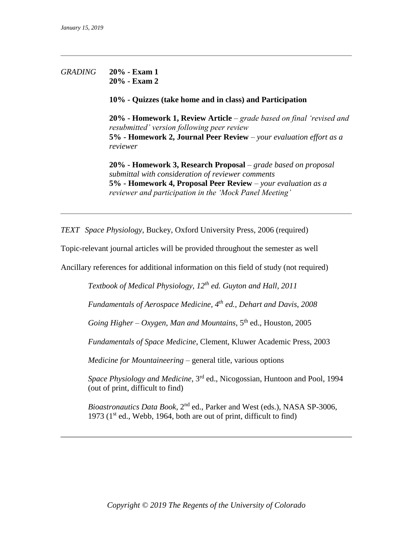### *GRADING* **20% - Exam 1 20% - Exam 2**

**10% - Quizzes (take home and in class) and Participation**

**20% - Homework 1, Review Article** – *grade based on final 'revised and resubmitted' version following peer review* **5% - Homework 2, Journal Peer Review** *– your evaluation effort as a reviewer*

**20% - Homework 3, Research Proposal** – *grade based on proposal submittal with consideration of reviewer comments* **5% - Homework 4, Proposal Peer Review** *– your evaluation as a reviewer and participation in the 'Mock Panel Meeting'*

*TEXT Space Physiology*, Buckey, Oxford University Press, 2006 (required)

Topic-relevant journal articles will be provided throughout the semester as well

Ancillary references for additional information on this field of study (not required)

*Textbook of Medical Physiology, 12th ed. Guyton and Hall, 2011*

*Fundamentals of Aerospace Medicine, 4th ed., Dehart and Davis, 2008*

*Going Higher – Oxygen, Man and Mountains*, 5th ed., Houston, 2005

*Fundamentals of Space Medicine*, Clement, Kluwer Academic Press, 2003

*Medicine for Mountaineering* – general title, various options

*Space Physiology and Medicine*, 3rd ed., Nicogossian, Huntoon and Pool, 1994 (out of print, difficult to find)

*Bioastronautics Data Book*, 2nd ed., Parker and West (eds.), NASA SP-3006, 1973  $(1<sup>st</sup>$  ed., Webb, 1964, both are out of print, difficult to find)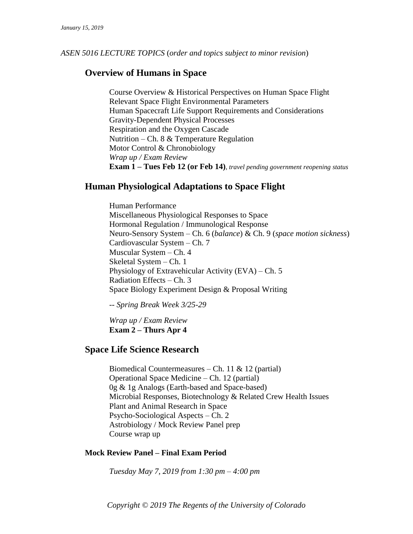*ASEN 5016 LECTURE TOPICS* (*order and topics subject to minor revision*)

## **Overview of Humans in Space**

Course Overview & Historical Perspectives on Human Space Flight Relevant Space Flight Environmental Parameters Human Spacecraft Life Support Requirements and Considerations Gravity-Dependent Physical Processes Respiration and the Oxygen Cascade Nutrition – Ch. 8 & Temperature Regulation Motor Control & Chronobiology *Wrap up / Exam Review* **Exam 1 – Tues Feb 12 (or Feb 14)**, *travel pending government reopening status*

# **Human Physiological Adaptations to Space Flight**

Human Performance Miscellaneous Physiological Responses to Space Hormonal Regulation / Immunological Response Neuro-Sensory System – Ch. 6 (*balance*) & Ch. 9 (*space motion sickness*) Cardiovascular System – Ch. 7 Muscular System – Ch. 4 Skeletal System – Ch. 1 Physiology of Extravehicular Activity (EVA) – Ch. 5 Radiation Effects – Ch. 3 Space Biology Experiment Design & Proposal Writing

*-- Spring Break Week 3/25-29*

*Wrap up / Exam Review* **Exam 2 – Thurs Apr 4**

# **Space Life Science Research**

Biomedical Countermeasures – Ch. 11 & 12 (partial) Operational Space Medicine – Ch. 12 (partial) 0g & 1g Analogs (Earth-based and Space-based) Microbial Responses, Biotechnology & Related Crew Health Issues Plant and Animal Research in Space Psycho-Sociological Aspects – Ch. 2 Astrobiology / Mock Review Panel prep Course wrap up

### **Mock Review Panel – Final Exam Period**

*Tuesday May 7, 2019 from 1:30 pm – 4:00 pm*

*Copyright © 2019 The Regents of the University of Colorado*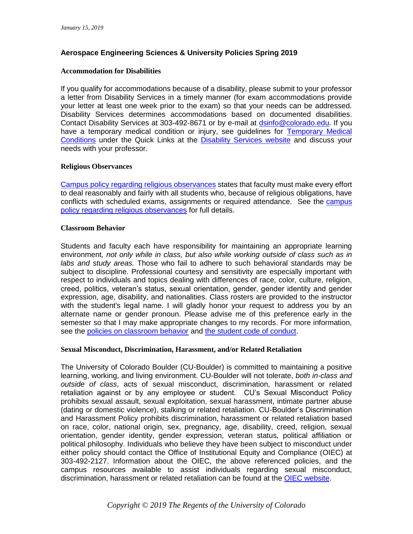### **Aerospace Engineering Sciences & University Policies Spring 2019**

#### **Accommodation for Disabilities**

If you qualify for accommodations because of a disability, please submit to your professor a letter from Disability Services in a timely manner (for exam accommodations provide your letter at least one week prior to the exam) so that your needs can be addressed. Disability Services determines accommodations based on documented disabilities. Contact Disability Services at 303-492-8671 or by e-mail at [dsinfo@colorado.edu.](mailto:dsinfo@colorado.edu) If you have a temporary medical condition or injury, see guidelines for [Temporary Medical](https://www.colorado.edu/disabilityservices/students/temporary-medical-conditions)  [Conditions](https://www.colorado.edu/disabilityservices/students/temporary-medical-conditions) under the Quick Links at the [Disability Services website](https://www.colorado.edu/disabilityservices/) and discuss your needs with your professor.

#### **Religious Observances**

[Campus policy regarding religious observances](https://www.colorado.edu/policies/observance-religious-holidays-and-absences-classes-andor-exams) states that faculty must make every effort to deal reasonably and fairly with all students who, because of religious obligations, have conflicts with scheduled exams, assignments or required attendance. See the [campus](https://www.colorado.edu/policies/observance-religious-holidays-and-absences-classes-andor-exams)  [policy regarding religious observances](https://www.colorado.edu/policies/observance-religious-holidays-and-absences-classes-andor-exams) for full details.

#### **Classroom Behavior**

Students and faculty each have responsibility for maintaining an appropriate learning environment*, not only while in class, but also while working outside of class such as in labs and study areas.* Those who fail to adhere to such behavioral standards may be subject to discipline. Professional courtesy and sensitivity are especially important with respect to individuals and topics dealing with differences of race, color, culture, religion, creed, politics, veteran's status, sexual orientation, gender, gender identity and gender expression, age, disability, and nationalities. Class rosters are provided to the instructor with the student's legal name. I will gladly honor your request to address you by an alternate name or gender pronoun. Please advise me of this preference early in the semester so that I may make appropriate changes to my records. For more information, see the [policies on classroom behavior](https://www.colorado.edu/policies/student-classroom-and-course-related-behavior) and [the student code](https://www.colorado.edu/institutionalequity/student-code-conduct) of conduct.

### **Sexual Misconduct, Discrimination, Harassment, and/or Related Retaliation**

The University of Colorado Boulder (CU-Boulder) is committed to maintaining a positive learning, working, and living environment. CU-Boulder will not tolerate, *both in-class and outside of class*, acts of sexual misconduct, discrimination, harassment or related retaliation against or by any employee or student. CU's Sexual Misconduct Policy prohibits sexual assault, sexual exploitation, sexual harassment, intimate partner abuse (dating or domestic violence), stalking or related retaliation. CU-Boulder's Discrimination and Harassment Policy prohibits discrimination, harassment or related retaliation based on race, color, national origin, sex, pregnancy, age, disability, creed, religion, sexual orientation, gender identity, gender expression, veteran status, political affiliation or political philosophy. Individuals who believe they have been subject to misconduct under either policy should contact the Office of Institutional Equity and Compliance (OIEC) at 303-492-2127. Information about the OIEC, the above referenced policies, and the campus resources available to assist individuals regarding sexual misconduct, discrimination, harassment or related retaliation can be found at the [OIEC website.](https://www.colorado.edu/institutionalequity/)